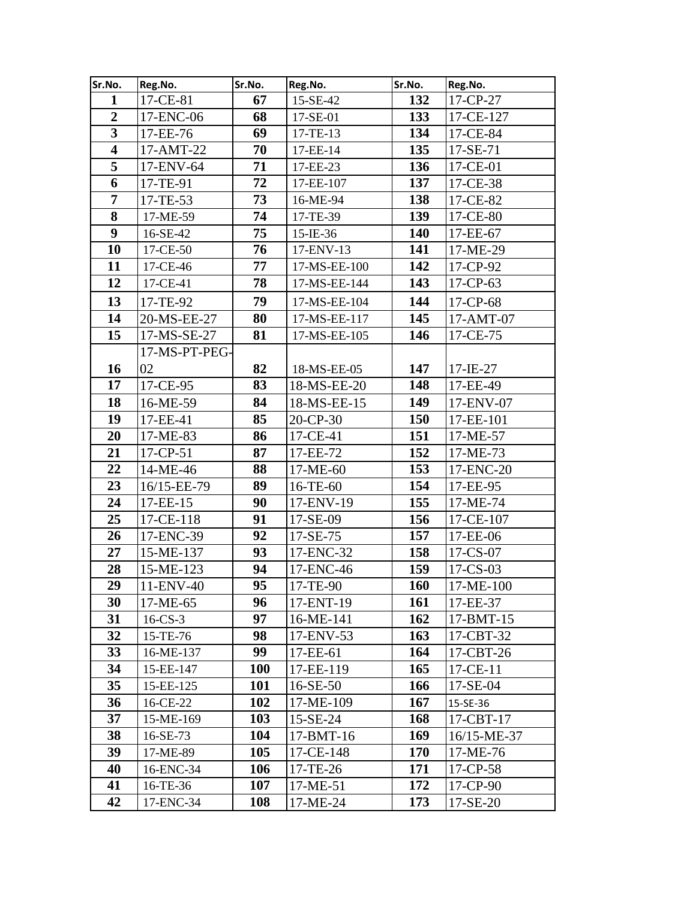| Sr.No.                  | Reg.No.        | Sr.No.     | Reg.No.      | Sr.No. | Reg.No.        |
|-------------------------|----------------|------------|--------------|--------|----------------|
| $\mathbf{1}$            | 17-CE-81       | 67         | 15-SE-42     | 132    | 17-CP-27       |
| $\overline{2}$          | 17-ENC-06      | 68         | 17-SE-01     | 133    | 17-CE-127      |
| $\overline{\mathbf{3}}$ | 17-EE-76       | 69         | 17-TE-13     | 134    | 17-CE-84       |
| $\overline{\mathbf{4}}$ | 17-AMT-22      | 70         | 17-EE-14     | 135    | 17-SE-71       |
| 5                       | 17-ENV-64      | 71         | 17-EE-23     | 136    | 17-CE-01       |
| 6                       | 17-TE-91       | 72         | 17-EE-107    | 137    | 17-CE-38       |
| $\overline{7}$          | 17-TE-53       | 73         | 16-ME-94     | 138    | 17-CE-82       |
| 8                       | 17-ME-59       | 74         | 17-TE-39     | 139    | 17-CE-80       |
| $\boldsymbol{9}$        | 16-SE-42       | 75         | $15$ -IE-36  | 140    | 17-EE-67       |
| 10                      | 17-CE-50       | 76         | 17-ENV-13    | 141    | 17-ME-29       |
| 11                      | 17-CE-46       | 77         | 17-MS-EE-100 | 142    | 17-CP-92       |
| 12                      | 17-CE-41       | 78         | 17-MS-EE-144 | 143    | $17$ -CP-63    |
| 13                      | 17-TE-92       | 79         | 17-MS-EE-104 | 144    | 17-CP-68       |
| 14                      | 20-MS-EE-27    | 80         | 17-MS-EE-117 | 145    | 17-AMT-07      |
| 15                      | 17-MS-SE-27    | 81         | 17-MS-EE-105 | 146    | 17-CE-75       |
|                         | 17-MS-PT-PEG-  |            |              |        |                |
| 16                      | 02             | 82         | 18-MS-EE-05  | 147    | $17 - IE - 27$ |
| 17                      | 17-CE-95       | 83         | 18-MS-EE-20  | 148    | 17-EE-49       |
| 18                      | 16-ME-59       | 84         | 18-MS-EE-15  | 149    | 17-ENV-07      |
| 19                      | 17-EE-41       | 85         | 20-CP-30     | 150    | 17-EE-101      |
| 20                      | 17-ME-83       | 86         | 17-CE-41     | 151    | 17-ME-57       |
| 21                      | $17 - CP - 51$ | 87         | 17-EE-72     | 152    | 17-ME-73       |
| 22                      | 14-ME-46       | 88         | 17-ME-60     | 153    | 17-ENC-20      |
| 23                      | 16/15-EE-79    | 89         | 16-TE-60     | 154    | 17-EE-95       |
| 24                      | 17-EE-15       | 90         | 17-ENV-19    | 155    | 17-ME-74       |
| 25                      | 17-CE-118      | 91         | 17-SE-09     | 156    | 17-CE-107      |
| 26                      | 17-ENC-39      | 92         | $17-SE-75$   | 157    | 17-EE-06       |
| 27                      | 15-ME-137      | 93         | 17-ENC-32    | 158    | 17-CS-07       |
| 28                      | 15-ME-123      | 94         | 17-ENC-46    | 159    | 17-CS-03       |
| 29                      | 11-ENV-40      | 95         | 17-TE-90     | 160    | 17-ME-100      |
| 30                      | 17-ME-65       | 96         | 17-ENT-19    | 161    | 17-EE-37       |
| 31                      | $16$ -CS-3     | 97         | 16-ME-141    | 162    | $17-BMT-15$    |
| 32                      | 15-TE-76       | 98         | 17-ENV-53    | 163    | 17-CBT-32      |
| 33                      | 16-ME-137      | 99         | 17-EE-61     | 164    | 17-CBT-26      |
| 34                      | 15-EE-147      | <b>100</b> | 17-EE-119    | 165    | 17-CE-11       |
| 35                      | 15-EE-125      | <b>101</b> | $16-SE-50$   | 166    | 17-SE-04       |
| 36                      | 16-CE-22       | 102        | 17-ME-109    | 167    | 15-SE-36       |
| 37                      | 15-ME-169      | 103        | 15-SE-24     | 168    | 17-CBT-17      |
| 38                      | 16-SE-73       | 104        | 17-BMT-16    | 169    | 16/15-ME-37    |
| 39                      | 17-ME-89       | 105        | 17-CE-148    | 170    | 17-ME-76       |
| 40                      | 16-ENC-34      | 106        | 17-TE-26     | 171    | 17-CP-58       |
| 41                      | 16-TE-36       | 107        | $17-ME-51$   | 172    | 17-CP-90       |
| 42                      | 17-ENC-34      | <b>108</b> | 17-ME-24     | 173    | 17-SE-20       |